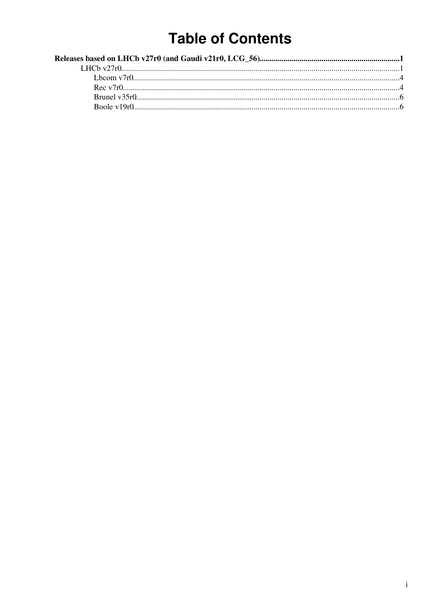## **Table of Contents**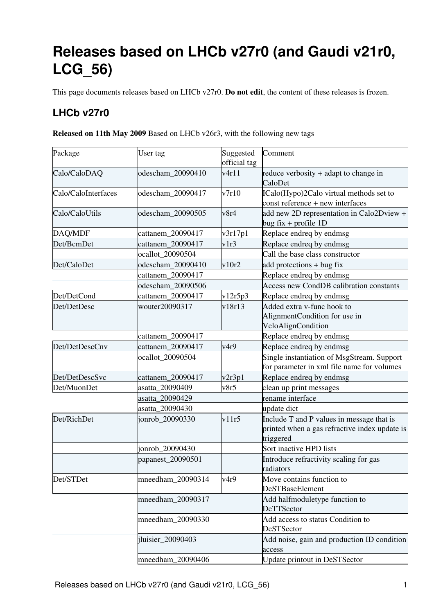# <span id="page-1-0"></span>**Releases based on LHCb v27r0 (and Gaudi v21r0, LCG\_56)**

This page documents releases based on LHCb v27r0. **Do not edit**, the content of these releases is frozen.

## <span id="page-1-1"></span>**LHCb v27r0**

**Released on 11th May 2009** Based on LHCb v26r3, with the following new tags

| Package             | User tag          | Suggested<br>official tag | Comment                                                                                                 |
|---------------------|-------------------|---------------------------|---------------------------------------------------------------------------------------------------------|
| Calo/CaloDAQ        | odescham_20090410 | v4r11                     | reduce verbosity + adapt to change in<br>CaloDet                                                        |
| Calo/CaloInterfaces | odescham_20090417 | v7r10                     | ICalo(Hypo)2Calo virtual methods set to<br>const reference + new interfaces                             |
| Calo/CaloUtils      | odescham_20090505 | v8r4                      | add new 2D representation in Calo2Dview +<br>bug fix + profile $1D$                                     |
| DAQ/MDF             | cattanem 20090417 | v3r17p1                   | Replace endreq by endmsg                                                                                |
| Det/BcmDet          | cattanem_20090417 | v1r3                      | Replace endreq by endmsg                                                                                |
|                     | ocallot_20090504  |                           | Call the base class constructor                                                                         |
| Det/CaloDet         | odescham 20090410 | v10r2                     | add protections + bug fix                                                                               |
|                     | cattanem_20090417 |                           | Replace endreq by endmsg                                                                                |
|                     | odescham 20090506 |                           | <b>Access new CondDB calibration constants</b>                                                          |
| Det/DetCond         | cattanem_20090417 | v12r5p3                   | Replace endreq by endmsg                                                                                |
| Det/DetDesc         | wouter20090317    | v18r13                    | Added extra v-func hook to<br>AlignmentCondition for use in<br>VeloAlignCondition                       |
|                     | cattanem_20090417 |                           | Replace endreq by endmsg                                                                                |
| Det/DetDescCnv      | cattanem_20090417 | v4r9                      | Replace endreq by endmsg                                                                                |
|                     | ocallot_20090504  |                           | Single instantiation of MsgStream. Support<br>for parameter in xml file name for volumes                |
| Det/DetDescSvc      | cattanem_20090417 | v2r3p1                    | Replace endreq by endmsg                                                                                |
| Det/MuonDet         | asatta_20090409   | v8r5                      | clean up print messages                                                                                 |
| asatta_20090429     |                   | rename interface          |                                                                                                         |
|                     | asatta_20090430   |                           | update dict                                                                                             |
| Det/RichDet         | jonrob_20090330   | v11r5                     | Include T and P values in message that is<br>printed when a gas refractive index update is<br>triggered |
|                     | jonrob_20090430   |                           | Sort inactive HPD lists                                                                                 |
|                     | papanest_20090501 |                           | Introduce refractivity scaling for gas<br>radiators                                                     |
| Det/STDet           | mneedham_20090314 | v4r9                      | Move contains function to<br><b>DeSTBaseElement</b>                                                     |
|                     | mneedham_20090317 |                           | Add halfmoduletype function to<br>DeTTSector                                                            |
|                     | mneedham_20090330 |                           | Add access to status Condition to<br>DeSTSector                                                         |
|                     | iluisier_20090403 |                           | Add noise, gain and production ID condition<br>access                                                   |
|                     | mneedham_20090406 |                           | Update printout in DeSTSector                                                                           |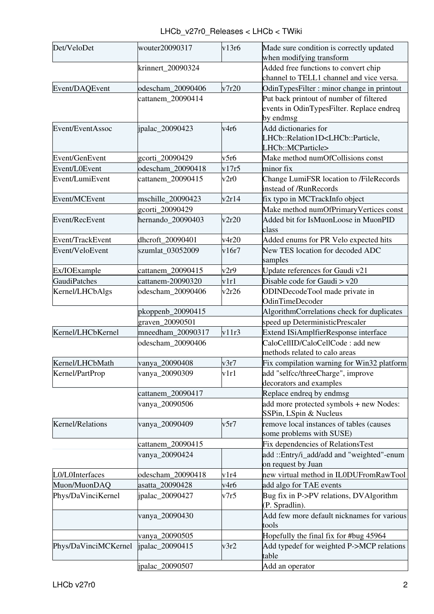LHCb\_v27r0\_Releases < LHCb < TWiki

| Det/VeloDet           | wouter20090317    | v13r6 | Made sure condition is correctly updated                                         |
|-----------------------|-------------------|-------|----------------------------------------------------------------------------------|
|                       |                   |       | when modifying transform                                                         |
|                       | krinnert 20090324 |       | Added free functions to convert chip<br>channel to TELL1 channel and vice versa. |
| Event/DAQEvent        | odescham_20090406 | v7r20 | OdinTypesFilter: minor change in printout                                        |
|                       | cattanem_20090414 |       | Put back printout of number of filtered                                          |
|                       |                   |       | events in OdinTypesFilter. Replace endreq                                        |
|                       |                   |       | by endmsg                                                                        |
| Event/EventAssoc      | ipalac_20090423   | v4r6  | Add dictionaries for                                                             |
|                       |                   |       | LHCb::Relation1D <lhcb::particle,< td=""></lhcb::particle,<>                     |
|                       |                   |       | LHCb::MCParticle>                                                                |
| Event/GenEvent        | gcorti_20090429   | v5r6  | Make method numOfCollisions const                                                |
| Event/L0Event         | odescham 20090418 | v17r5 | minor fix                                                                        |
| Event/LumiEvent       | cattanem_20090415 | v2r0  | Change LumiFSR location to /FileRecords                                          |
|                       |                   |       | instead of /RunRecords                                                           |
| Event/MCEvent         | mschille_20090423 | v2r14 | fix typo in MCTrackInfo object                                                   |
|                       | gcorti_20090429   |       | Make method numOfPrimaryVertices const                                           |
| <b>Event/RecEvent</b> | hernando 20090403 | v2r20 | Added bit for IsMuonLoose in MuonPID                                             |
|                       |                   |       | class                                                                            |
| Event/TrackEvent      | dhcroft_20090401  | v4r20 | Added enums for PR Velo expected hits                                            |
| Event/VeloEvent       | szumlat_03052009  | v16r7 | New TES location for decoded ADC                                                 |
|                       |                   |       | samples                                                                          |
| Ex/IOExample          | cattanem_20090415 | v2r9  | Update references for Gaudi v21                                                  |
| <b>GaudiPatches</b>   | cattanem-20090320 | v1r1  | Disable code for Gaudi $>$ v20                                                   |
| Kernel/LHCbAlgs       | odescham_20090406 | v2r26 | ODINDecodeTool made private in                                                   |
|                       |                   |       | <b>OdinTimeDecoder</b>                                                           |
|                       | pkoppenb_20090415 |       | AlgorithmCorrelations check for duplicates                                       |
|                       | graven_20090501   |       | speed up DeterministicPrescaler                                                  |
| Kernel/LHCbKernel     | mneedham_20090317 | v11r3 | Extend ISiAmplfierResponse interface                                             |
|                       | odescham_20090406 |       | CaloCellID/CaloCellCode: add new                                                 |
|                       |                   |       | methods related to calo areas                                                    |
| Kernel/LHCbMath       | vanya_20090408    | v3r7  | Fix compilation warning for Win32 platform                                       |
| Kernel/PartProp       | vanya_20090309    | v1r1  | add "selfcc/threeCharge", improve                                                |
|                       |                   |       | decorators and examples                                                          |
|                       | cattanem_20090417 |       | Replace endreq by endmsg                                                         |
|                       | vanya_20090506    |       | add more protected symbols + new Nodes:                                          |
|                       |                   |       | SSPin, LSpin & Nucleus                                                           |
| Kernel/Relations      | vanya_20090409    | v5r7  | remove local instances of tables (causes<br>some problems with SUSE)             |
|                       |                   |       |                                                                                  |
|                       | cattanem_20090415 |       | Fix dependencies of RelationsTest                                                |
|                       | vanya_20090424    |       | add::Entry/i_add/add and "weighted"-enum<br>on request by Juan                   |
| L0/L0Interfaces       | odescham_20090418 | v1r4  | new virtual method in IL0DUFromRawTool                                           |
| Muon/MuonDAQ          | asatta_20090428   | v4r6  | add algo for TAE events                                                          |
| Phys/DaVinciKernel    | jpalac_20090427   | v7r5  | Bug fix in P->PV relations, DVAlgorithm                                          |
|                       |                   |       | (P. Spradlin).                                                                   |
|                       | vanya_20090430    |       | Add few more default nicknames for various                                       |
|                       |                   |       | tools                                                                            |
|                       | vanya_20090505    |       | Hopefully the final fix for #bug 45964                                           |
| Phys/DaVinciMCKernel  | jpalac_20090415   | v3r2  | Add typedef for weighted P->MCP relations                                        |
|                       |                   |       | table                                                                            |
|                       | ipalac_20090507   |       | Add an operator                                                                  |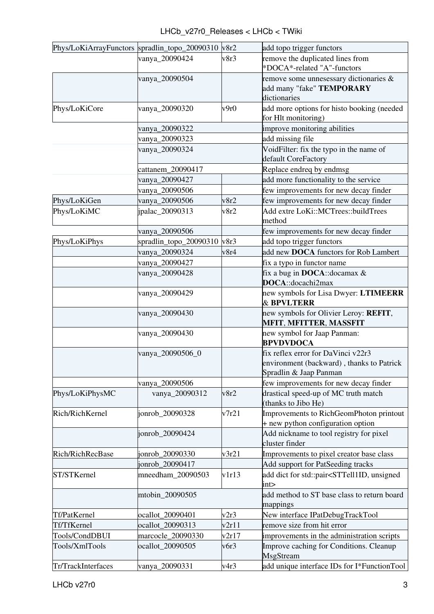| Phys/LoKiArrayFunctors spradlin_topo_20090310 v8r2 |                        |       | add topo trigger functors                                           |
|----------------------------------------------------|------------------------|-------|---------------------------------------------------------------------|
|                                                    | vanya_20090424         | v8r3  | remove the duplicated lines from                                    |
|                                                    |                        |       | *DOCA*-related "A"-functors                                         |
|                                                    | vanya_20090504         |       | remove some unnesessary dictionaries &                              |
|                                                    |                        |       | add many "fake" TEMPORARY                                           |
|                                                    |                        |       | dictionaries                                                        |
| Phys/LoKiCore                                      | vanya_20090320         | v9r0  | add more options for histo booking (needed                          |
|                                                    |                        |       | for Hlt monitoring)                                                 |
|                                                    | vanya_20090322         |       | improve monitoring abilities                                        |
|                                                    | vanya_20090323         |       | add missing file                                                    |
|                                                    | vanya_20090324         |       | VoidFilter: fix the typo in the name of                             |
|                                                    |                        |       | default CoreFactory                                                 |
|                                                    | cattanem_20090417      |       | Replace endreq by endmsg                                            |
|                                                    | vanya_20090427         |       | add more functionality to the service                               |
|                                                    | vanya_20090506         |       | few improvements for new decay finder                               |
| Phys/LoKiGen                                       | vanya_20090506         | v8r2  | few improvements for new decay finder                               |
| Phys/LoKiMC                                        | jpalac_20090313        | v8r2  | Add extre LoKi::MCTrees::buildTrees                                 |
|                                                    |                        |       | method                                                              |
|                                                    | vanya_20090506         |       | few improvements for new decay finder                               |
| Phys/LoKiPhys                                      | spradlin_topo_20090310 | v8r3  | add topo trigger functors                                           |
|                                                    | vanya_20090324         | v8r4  | add new DOCA functors for Rob Lambert                               |
|                                                    | vanya_20090427         |       | fix a typo in functor name                                          |
|                                                    | vanya_20090428         |       | fix a bug in <b>DOCA</b> :: docamax $\&$                            |
|                                                    |                        |       | DOCA::docachi2max                                                   |
|                                                    | vanya_20090429         |       | new symbols for Lisa Dwyer: LTIMEERR<br><b>&amp; BPVLTERR</b>       |
|                                                    | vanya_20090430         |       |                                                                     |
|                                                    |                        |       | new symbols for Olivier Leroy: REFIT,                               |
|                                                    |                        |       | <b>MFIT, MFITTER, MASSFIT</b>                                       |
|                                                    | vanya_20090430         |       | new symbol for Jaap Panman:<br><b>BPVDVDOCA</b>                     |
|                                                    | vanya_20090506_0       |       | fix reflex error for DaVinci v22r3                                  |
|                                                    |                        |       | environment (backward), thanks to Patrick                           |
|                                                    |                        |       | Spradlin & Jaap Panman                                              |
|                                                    | vanya_20090506         |       | few improvements for new decay finder                               |
| Phys/LoKiPhysMC                                    | vanya_20090312         | v8r2  | drastical speed-up of MC truth match<br>(thanks to Jibo He)         |
| Rich/RichKernel                                    | jonrob_20090328        | v7r21 | Improvements to RichGeomPhoton printout                             |
|                                                    |                        |       | + new python configuration option                                   |
|                                                    | jonrob_20090424        |       | Add nickname to tool registry for pixel                             |
|                                                    |                        |       | cluster finder                                                      |
| Rich/RichRecBase                                   | jonrob_20090330        | v3r21 | Improvements to pixel creator base class                            |
|                                                    | jonrob_20090417        |       | Add support for PatSeeding tracks                                   |
| ST/STKernel                                        | mneedham_20090503      | v1r13 | add dict for std::pair <sttell1id, td="" unsigned<=""></sttell1id,> |
|                                                    |                        |       | int>                                                                |
|                                                    | mtobin_20090505        |       | add method to ST base class to return board<br>mappings             |
| Tf/PatKernel                                       | ocallot_20090401       | v2r3  | New interface IPatDebugTrackTool                                    |
| Tf/TfKernel                                        | ocallot_20090313       | v2r11 | remove size from hit error                                          |
| Tools/CondDBUI                                     | marcocle_20090330      | v2r17 | improvements in the administration scripts                          |
| Tools/XmlTools                                     | ocallot_20090505       | v6r3  | Improve caching for Conditions. Cleanup<br>MsgStream                |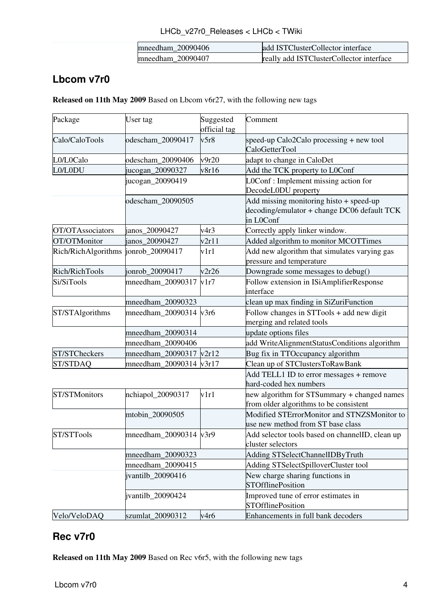| mneedham 20090406 | add ISTClusterCollector interface          |
|-------------------|--------------------------------------------|
| mneedham 20090407 | really add ISTC luster Collector interface |

## <span id="page-4-0"></span>**Lbcom v7r0**

**Released on 11th May 2009** Based on Lbcom v6r27, with the following new tags

| Package                              | User tag                        | Suggested<br>official tag | Comment                                                                                             |
|--------------------------------------|---------------------------------|---------------------------|-----------------------------------------------------------------------------------------------------|
| Calo/CaloTools                       | odescham_20090417               | v5r8                      | speed-up Calo2Calo processing + new tool<br>CaloGetterTool                                          |
| L0/L0Calo                            | odescham_20090406               | v9r20                     | adapt to change in CaloDet                                                                          |
| L0/L0DU                              | jucogan_20090327                | v8r16                     | Add the TCK property to L0Conf                                                                      |
|                                      | jucogan_20090419                |                           | LOConf: Implement missing action for<br>DecodeL0DU property                                         |
|                                      | odescham_20090505               |                           | Add missing monitoring histo + speed-up<br>decoding/emulator + change DC06 default TCK<br>in L0Conf |
| OT/OTAssociators                     | janos_20090427                  | v4r3                      | Correctly apply linker window.                                                                      |
| OT/OTMonitor                         | janos_20090427                  | v2r11                     | Added algorithm to monitor MCOTTimes                                                                |
| Rich/RichAlgorithms  jonrob_20090417 |                                 | v1r1                      | Add new algorithm that simulates varying gas<br>pressure and temperature                            |
| Rich/RichTools                       | jonrob_20090417                 | v2r26                     | Downgrade some messages to debug()                                                                  |
| Si/SiTools                           | mneedham_20090317               | v1r7                      | Follow extension in ISiAmplifierResponse<br>interface                                               |
|                                      | mneedham 20090323               |                           | clean up max finding in SiZuriFunction                                                              |
| ST/STAlgorithms                      | mneedham_20090314 $v3r6$        |                           | Follow changes in STTools + add new digit<br>merging and related tools                              |
|                                      | mneedham_20090314               |                           | update options files                                                                                |
|                                      | mneedham_20090406               |                           | add WriteAlignmentStatusConditions algorithm                                                        |
| ST/STCheckers                        | $mneedham_20090317 \sqrt{2r12}$ |                           | Bug fix in TTOccupancy algorithm                                                                    |
| ST/STDAQ                             | mneedham_20090314 v3r17         |                           | Clean up of STClustersToRawBank                                                                     |
|                                      |                                 |                           | Add TELL1 ID to error messages + remove<br>hard-coded hex numbers                                   |
| ST/STMonitors                        | nchiapol_20090317               | v1r1                      | new algorithm for STSummary + changed names<br>from older algorithms to be consistent               |
|                                      | mtobin_20090505                 |                           | Modified STErrorMonitor and STNZSMonitor to<br>use new method from ST base class                    |
| ST/STTools                           | mneedham_ $20090314$ $v3r9$     |                           | Add selector tools based on channelID, clean up<br>cluster selectors                                |
|                                      | mneedham_20090323               |                           | Adding STSelectChannelIDByTruth                                                                     |
|                                      | mneedham_20090415               |                           | Adding STSelectSpilloverCluster tool                                                                |
|                                      | jvantilb_20090416               |                           | New charge sharing functions in<br><b>STOfflinePosition</b>                                         |
|                                      | jvantilb_20090424               |                           | Improved tune of error estimates in<br><b>STOfflinePosition</b>                                     |
| Velo/VeloDAQ                         | szumlat_20090312                | v4r6                      | Enhancements in full bank decoders                                                                  |

### <span id="page-4-1"></span>**Rec v7r0**

**Released on 11th May 2009** Based on Rec v6r5, with the following new tags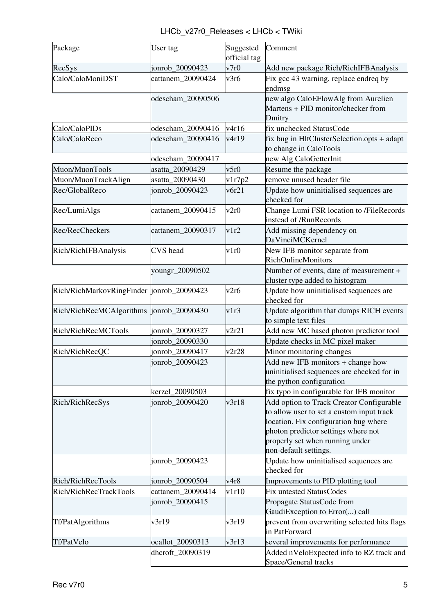| Package                                    | User tag          | Suggested<br>official tag | Comment                                                                                                                                                                                                                           |
|--------------------------------------------|-------------------|---------------------------|-----------------------------------------------------------------------------------------------------------------------------------------------------------------------------------------------------------------------------------|
| RecSys                                     | jonrob 20090423   | v7r0                      | Add new package Rich/RichIFBAnalysis                                                                                                                                                                                              |
| Calo/CaloMoniDST                           | cattanem_20090424 | v3r6                      | Fix gcc 43 warning, replace endreq by<br>endmsg                                                                                                                                                                                   |
|                                            | odescham_20090506 |                           | new algo CaloEFlowAlg from Aurelien<br>Martens + PID monitor/checker from<br>Dmitry                                                                                                                                               |
| Calo/CaloPIDs                              | odescham 20090416 | v4r16                     | fix unchecked StatusCode                                                                                                                                                                                                          |
| Calo/CaloReco                              | odescham_20090416 | v4r19                     | fix bug in HltClusterSelection.opts + adapt<br>to change in CaloTools                                                                                                                                                             |
|                                            | odescham_20090417 |                           | new Alg CaloGetterInit                                                                                                                                                                                                            |
| Muon/MuonTools                             | asatta_20090429   | v5r0                      | Resume the package                                                                                                                                                                                                                |
| Muon/MuonTrackAlign                        | asatta_20090430   | v1r7p2                    | remove unused header file                                                                                                                                                                                                         |
| Rec/GlobalReco                             | jonrob_20090423   | v6r21                     | Update how uninitialised sequences are<br>checked for                                                                                                                                                                             |
| Rec/LumiAlgs                               | cattanem_20090415 | v2r0                      | Change Lumi FSR location to /FileRecords<br>instead of /RunRecords                                                                                                                                                                |
| Rec/RecCheckers                            | cattanem_20090317 | v1r2                      | Add missing dependency on<br>DaVinciMCKernel                                                                                                                                                                                      |
| Rich/RichIFBAnalysis                       | <b>CVS</b> head   | v1r0                      | New IFB monitor separate from<br><b>RichOnlineMonitors</b>                                                                                                                                                                        |
|                                            | youngr_20090502   |                           | Number of events, date of measurement +<br>cluster type added to histogram                                                                                                                                                        |
| Rich/RichMarkovRingFinder  jonrob_20090423 |                   | v2r6                      | Update how uninitialised sequences are<br>checked for                                                                                                                                                                             |
| Rich/RichRecMCAlgorithms  jonrob_20090430  |                   | v1r3                      | Update algorithm that dumps RICH events<br>to simple text files                                                                                                                                                                   |
| Rich/RichRecMCTools                        | jonrob_20090327   | v2r21                     | Add new MC based photon predictor tool                                                                                                                                                                                            |
|                                            | jonrob_20090330   |                           | Update checks in MC pixel maker                                                                                                                                                                                                   |
| Rich/RichRecQC                             | jonrob_20090417   | v2r28                     | Minor monitoring changes                                                                                                                                                                                                          |
|                                            | jonrob_20090423   |                           | Add new IFB monitors + change how<br>uninitialised sequences are checked for in<br>the python configuration                                                                                                                       |
|                                            | kerzel 20090503   |                           | fix typo in configurable for IFB monitor                                                                                                                                                                                          |
| Rich/RichRecSys                            | jonrob_20090420   | v3r18                     | Add option to Track Creator Configurable<br>to allow user to set a custom input track<br>location. Fix configuration bug where<br>photon predictor settings where not<br>properly set when running under<br>non-default settings. |
|                                            | jonrob_20090423   |                           | Update how uninitialised sequences are<br>checked for                                                                                                                                                                             |
| Rich/RichRecTools                          | jonrob_20090504   | v4r8                      | Improvements to PID plotting tool                                                                                                                                                                                                 |
| Rich/RichRecTrackTools                     | cattanem_20090414 | v1r10                     | <b>Fix untested StatusCodes</b>                                                                                                                                                                                                   |
|                                            | jonrob_20090415   |                           | Propagate StatusCode from<br>GaudiException to Error() call                                                                                                                                                                       |
| Tf/PatAlgorithms                           | v3r19             | v3r19                     | prevent from overwriting selected hits flags<br>in PatForward                                                                                                                                                                     |
| Tf/PatVelo                                 | ocallot_20090313  | v3r13                     | several improvements for performance                                                                                                                                                                                              |
|                                            | dhcroft_20090319  |                           | Added nVeloExpected info to RZ track and<br>Space/General tracks                                                                                                                                                                  |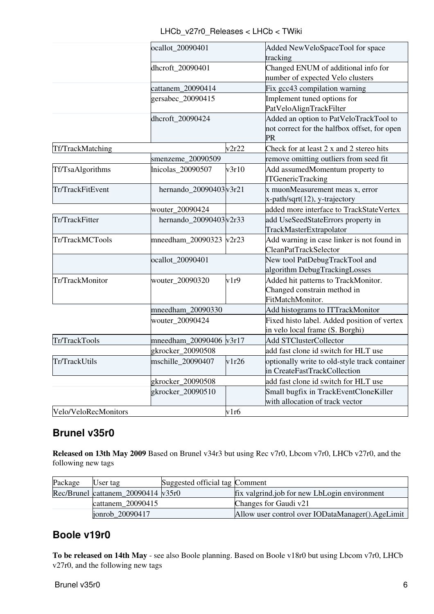|                      | ocallot_20090401<br>dhcroft_20090401 |       | Added NewVeloSpaceTool for space<br>tracking<br>Changed ENUM of additional info for<br>number of expected Velo clusters |  |
|----------------------|--------------------------------------|-------|-------------------------------------------------------------------------------------------------------------------------|--|
|                      |                                      |       |                                                                                                                         |  |
|                      | cattanem_20090414                    |       | Fix gcc43 compilation warning                                                                                           |  |
|                      | gersabec_20090415                    |       | Implement tuned options for<br>PatVeloAlignTrackFilter                                                                  |  |
|                      | dhcroft_20090424                     |       | Added an option to PatVeloTrackTool to<br>not correct for the halfbox offset, for open<br>PR                            |  |
| Tf/TrackMatching     | v2r22                                |       | Check for at least 2 x and 2 stereo hits                                                                                |  |
|                      | smenzeme_20090509                    |       | remove omitting outliers from seed fit                                                                                  |  |
| Tf/TsaAlgorithms     | Inicolas_20090507                    | v3r10 | Add assumedMomentum property to<br><b>ITGenericTracking</b>                                                             |  |
| Tr/TrackFitEvent     | hernando_20090403 $v3r21$            |       | x muonMeasurement meas x, error<br>x-path/sqrt(12), y-trajectory                                                        |  |
|                      | wouter_20090424                      |       | added more interface to TrackStateVertex                                                                                |  |
| Tr/TrackFitter       | hernando_20090403 $v2r33$            |       | add UseSeedStateErrors property in<br>TrackMasterExtrapolator                                                           |  |
| Tr/TrackMCTools      | mneedham_20090323 $v2r23$            |       | Add warning in case linker is not found in<br><b>CleanPatTrackSelector</b>                                              |  |
|                      | ocallot_20090401                     |       | New tool PatDebugTrackTool and<br>algorithm DebugTrackingLosses                                                         |  |
| Tr/TrackMonitor      | wouter_20090320                      | v1r9  | Added hit patterns to TrackMonitor.<br>Changed constrain method in<br>FitMatchMonitor.                                  |  |
|                      | mneedham_20090330                    |       | Add histograms to ITTrackMonitor                                                                                        |  |
|                      | wouter_20090424                      |       | Fixed histo label. Added position of vertex<br>in velo local frame (S. Borghi)                                          |  |
| Tr/TrackTools        | mneedham_20090406 v3r17              |       | <b>Add STClusterCollector</b>                                                                                           |  |
|                      | gkrocker_20090508                    |       | add fast clone id switch for HLT use                                                                                    |  |
| Tr/TrackUtils        | mschille_20090407                    | v1r26 | optionally write to old-style track container<br>in CreateFastTrackCollection                                           |  |
|                      | gkrocker_20090508                    |       | add fast clone id switch for HLT use                                                                                    |  |
|                      | gkrocker_20090510                    |       | Small bugfix in TrackEventCloneKiller<br>with allocation of track vector                                                |  |
| Velo/VeloRecMonitors |                                      | v1r6  |                                                                                                                         |  |

#### <span id="page-6-0"></span>**Brunel v35r0**

**Released on 13th May 2009** Based on Brunel v34r3 but using Rec v7r0, Lbcom v7r0, LHCb v27r0, and the following new tags

| Package | User tag                                        | Suggested official tag Comment |                                                  |
|---------|-------------------------------------------------|--------------------------------|--------------------------------------------------|
|         | Rec/Brunel cattanem_20090414 $\overline{v}35r0$ |                                | fix valgrind.job for new LbLogin environment     |
|         | cattanem 20090415                               |                                | Changes for Gaudi v21                            |
|         | jonrob_20090417                                 |                                | Allow user control over IODataManager().AgeLimit |

#### <span id="page-6-1"></span>**Boole v19r0**

**To be released on 14th May** - see also [Boole planning.](https://twiki.cern.ch/twiki/bin/view/LHCb/BoolePlanning) Based on Boole v18r0 but using Lbcom v7r0, LHCb v27r0, and the following new tags